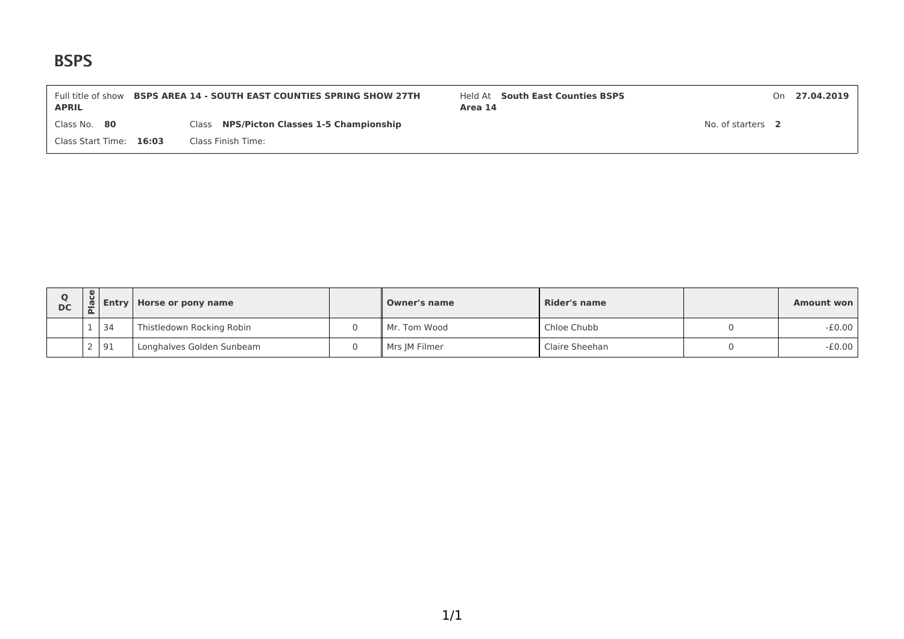| <b>APRIL</b>            | Full title of show <b>BSPS AREA 14 - SOUTH EAST COUNTIES SPRING SHOW 27TH</b> | Held At South East Counties BSPS<br>Area 14 |                   | On 27.04.2019 |
|-------------------------|-------------------------------------------------------------------------------|---------------------------------------------|-------------------|---------------|
| Class No. 80            | Class NPS/Picton Classes 1-5 Championship                                     |                                             | No. of starters 2 |               |
| Class Start Time: 16:03 | Class Finish Time:                                                            |                                             |                   |               |

| <b>DC</b> | ိပ | ี เติม Entry | Horse or pony name<br><b>Owner's name</b> |  |               | Rider's name   | Amount won |
|-----------|----|--------------|-------------------------------------------|--|---------------|----------------|------------|
|           |    | 34           | Thistledown Rocking Robin                 |  | Mr. Tom Wood  | Chloe Chubb    | -£0.00     |
|           |    | 91           | Longhalves Golden Sunbeam                 |  | Mrs JM Filmer | Claire Sheehan | $-£0.00$   |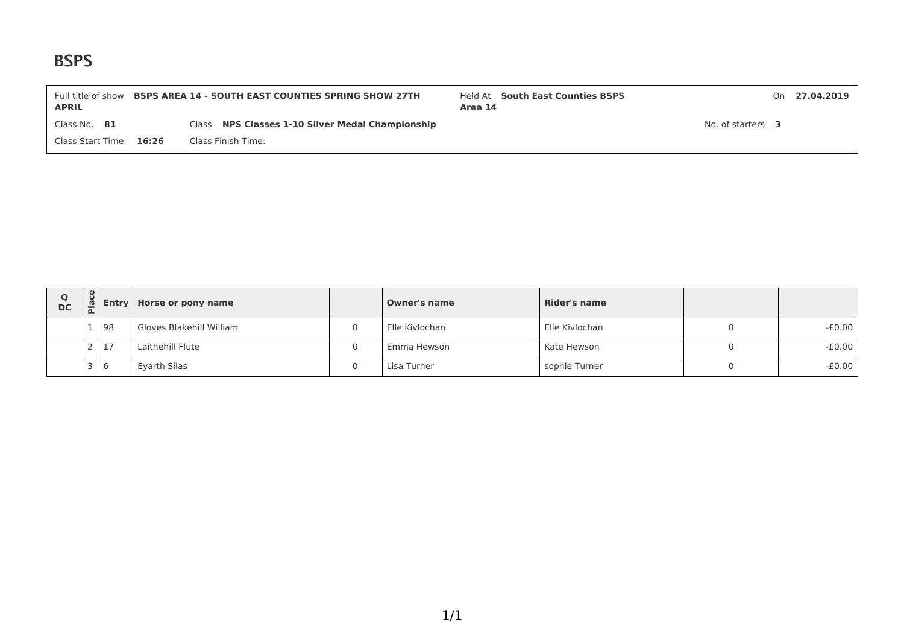| <b>APRIL</b>            | Full title of show <b>BSPS AREA 14 - SOUTH EAST COUNTIES SPRING SHOW 27TH</b> | Held At South East Counties BSPS<br>Area 14 |                   | On 27.04.2019 |
|-------------------------|-------------------------------------------------------------------------------|---------------------------------------------|-------------------|---------------|
| Class No. $81$          | Class NPS Classes 1-10 Silver Medal Championship                              |                                             | No. of starters 3 |               |
| Class Start Time: 16:26 | Class Finish Time:                                                            |                                             |                   |               |

| O<br><b>DC</b> | ပ္ပ<br>$\overline{\mathbf{C}}$ |                | <b>Entry   Horse or pony name</b> | <b>Owner's name</b> | Rider's name   |          |
|----------------|--------------------------------|----------------|-----------------------------------|---------------------|----------------|----------|
|                |                                | 98             | Gloves Blakehill William          | Elle Kivlochan      | Elle Kivlochan | $-E0.00$ |
|                |                                | 17             | Laithehill Flute                  | Emma Hewson         | Kate Hewson    | $-E0.00$ |
|                | ے                              | $\overline{6}$ | Eyarth Silas                      | Lisa Turner         | sophie Turner  | $-E0.00$ |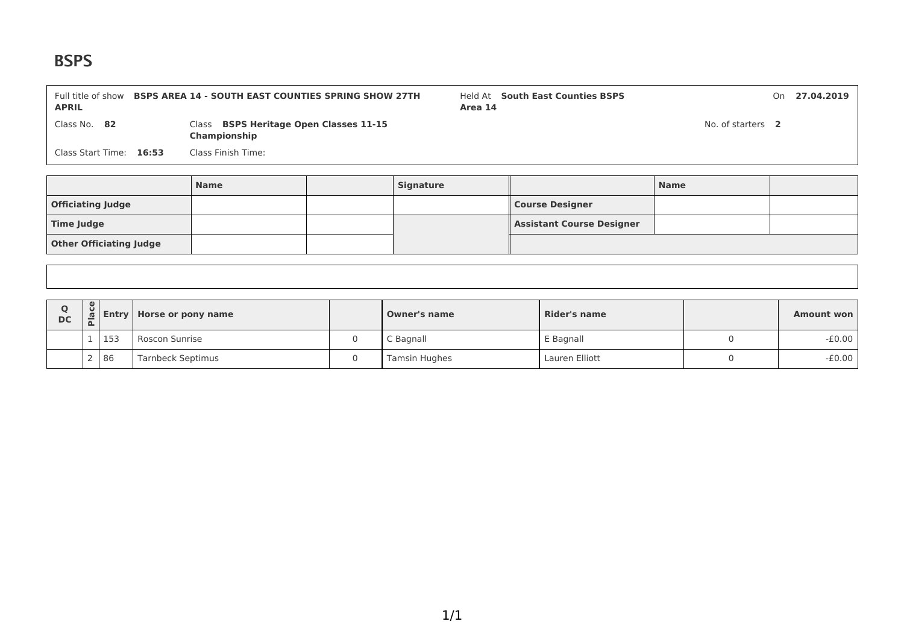**Other Officiating Judge**

| <b>APRIL</b>             | Full title of show <b>BSPS AREA 14 - SOUTH EAST COUNTIES SPRING SHOW 27TH</b> | Area 14          | Held At South East Counties BSPS |                   | On | 27.04.2019 |
|--------------------------|-------------------------------------------------------------------------------|------------------|----------------------------------|-------------------|----|------------|
| Class No. 82             | Class BSPS Heritage Open Classes 11-15<br>Championship                        |                  |                                  | No. of starters 2 |    |            |
| Class Start Time: 16:53  | Class Finish Time:                                                            |                  |                                  |                   |    |            |
|                          |                                                                               |                  |                                  |                   |    |            |
|                          | <b>Name</b>                                                                   | <b>Signature</b> |                                  | <b>Name</b>       |    |            |
| <b>Officiating Judge</b> |                                                                               |                  | <b>Course Designer</b>           |                   |    |            |

**Time Judge Assistant Course Designer** 

| $\Omega$<br><b>DC</b> | u | <b>Entry</b> | / Horse or pony name     | Owner's name  | <b>Rider's name</b> | <b>Amount won</b> |
|-----------------------|---|--------------|--------------------------|---------------|---------------------|-------------------|
|                       |   | 153          | Roscon Sunrise           | C Bagnall     | E Bagnall           | $-E0.00$          |
|                       |   | 86           | <b>Tarnbeck Septimus</b> | Tamsin Hughes | Lauren Elliott      | $-E0.00$          |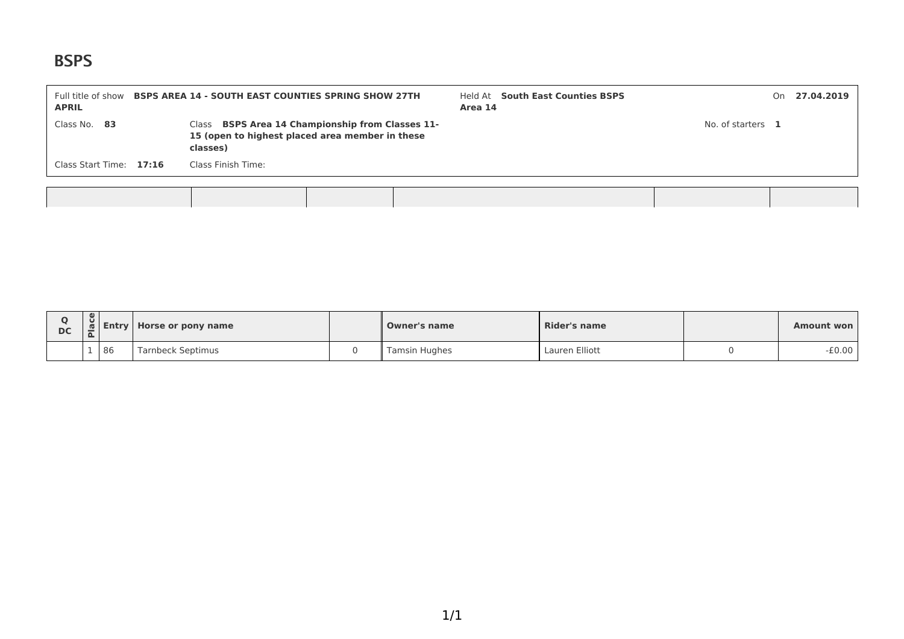| Class No. 83<br>Class BSPS Area 14 Championship from Classes 11-<br>No. of starters 1<br>15 (open to highest placed area member in these<br>classes)<br>Class Start Time: 17:16<br>Class Finish Time: | <b>APRIL</b> | Full title of show <b>BSPS AREA 14 - SOUTH EAST COUNTIES SPRING SHOW 27TH</b> | Held At South East Counties BSPS<br>Area 14 |  | On 27.04.2019 |
|-------------------------------------------------------------------------------------------------------------------------------------------------------------------------------------------------------|--------------|-------------------------------------------------------------------------------|---------------------------------------------|--|---------------|
|                                                                                                                                                                                                       |              |                                                                               |                                             |  |               |
|                                                                                                                                                                                                       |              |                                                                               |                                             |  |               |

| <b>DC</b> | $\cup$ | Entry | Horse or pony name | Owner's name  | <b>Rider's name</b> | <b>Amount won</b> |
|-----------|--------|-------|--------------------|---------------|---------------------|-------------------|
|           |        | 86    | Tarnbeck Septimus  | Tamsin Hughes | Lauren Elliott      | $-£0.00$          |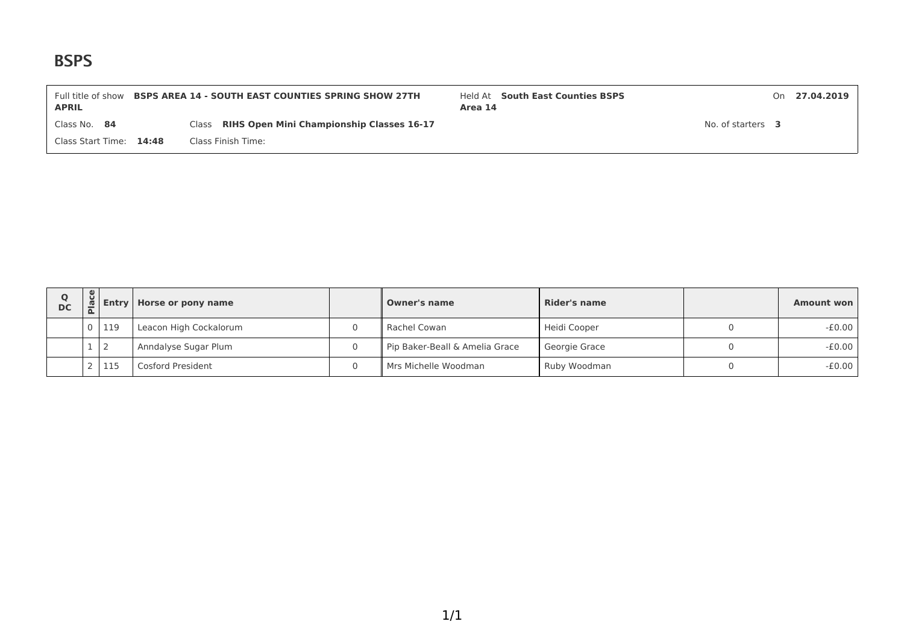| <b>APRIL</b>            | Full title of show <b>BSPS AREA 14 - SOUTH EAST COUNTIES SPRING SHOW 27TH</b> | Held At South East Counties BSPS<br>Area 14 |                   | On 27.04.2019 |
|-------------------------|-------------------------------------------------------------------------------|---------------------------------------------|-------------------|---------------|
| Class No. 84            | Class RIHS Open Mini Championship Classes 16-17                               |                                             | No. of starters 3 |               |
| Class Start Time: 14:48 | Class Finish Time:                                                            |                                             |                   |               |

| Ο<br><b>DC</b> |     | <b>Entry   Horse or pony name</b> |   | <b>Owner's name</b>            | Rider's name  | Amount won |
|----------------|-----|-----------------------------------|---|--------------------------------|---------------|------------|
|                | 119 | Leacon High Cockalorum            | 0 | Rachel Cowan                   | Heidi Cooper  | $-£0.00$   |
|                |     | Anndalyse Sugar Plum              | 0 | Pip Baker-Beall & Amelia Grace | Georgie Grace | $-£0.00$   |
|                | 115 | Cosford President                 | 0 | Mrs Michelle Woodman           | Ruby Woodman  | $-E0.00$   |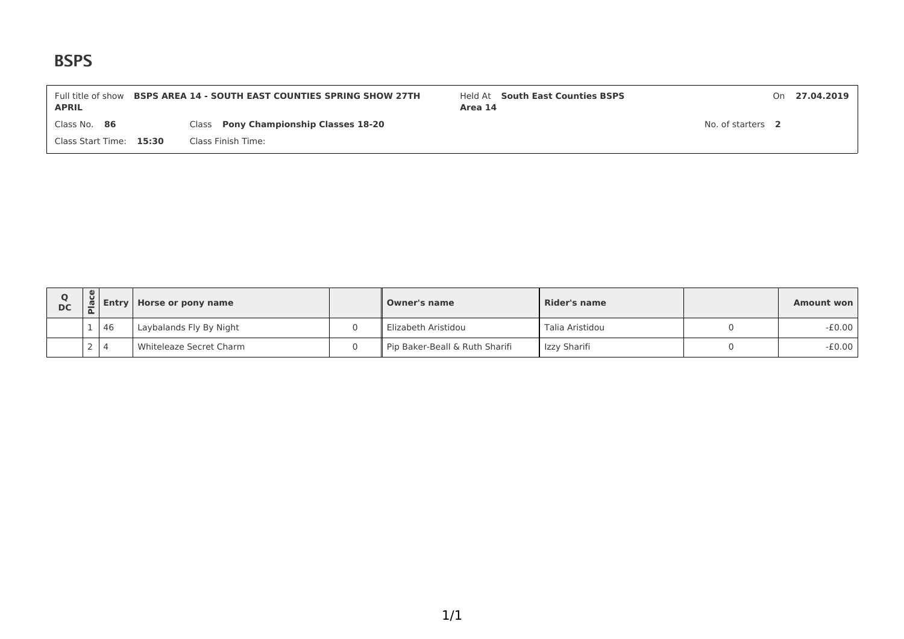| Full title of show<br><b>APRIL</b> | <b>BSPS AREA 14 - SOUTH EAST COUNTIES SPRING SHOW 27TH</b> | Held At South East Counties BSPS<br>Area 14 |                   | On 27.04.2019 |
|------------------------------------|------------------------------------------------------------|---------------------------------------------|-------------------|---------------|
| Class No. 86                       | Class Pony Championship Classes 18-20                      |                                             | No. of starters 2 |               |
| Class Start Time: 15:30            | Class Finish Time:                                         |                                             |                   |               |

| <b>DC</b> | ី. |    | <b>Entry   Horse or pony name</b> | <b>Owner's name</b>            | Rider's name    | <b>Amount won</b> |
|-----------|----|----|-----------------------------------|--------------------------------|-----------------|-------------------|
|           |    | 46 | Laybalands Fly By Night           | Elizabeth Aristidou            | Talia Aristidou | $-E0.00$          |
|           |    |    | Whiteleaze Secret Charm           | Pip Baker-Beall & Ruth Sharifi | Izzy Sharifi    | -£0.00            |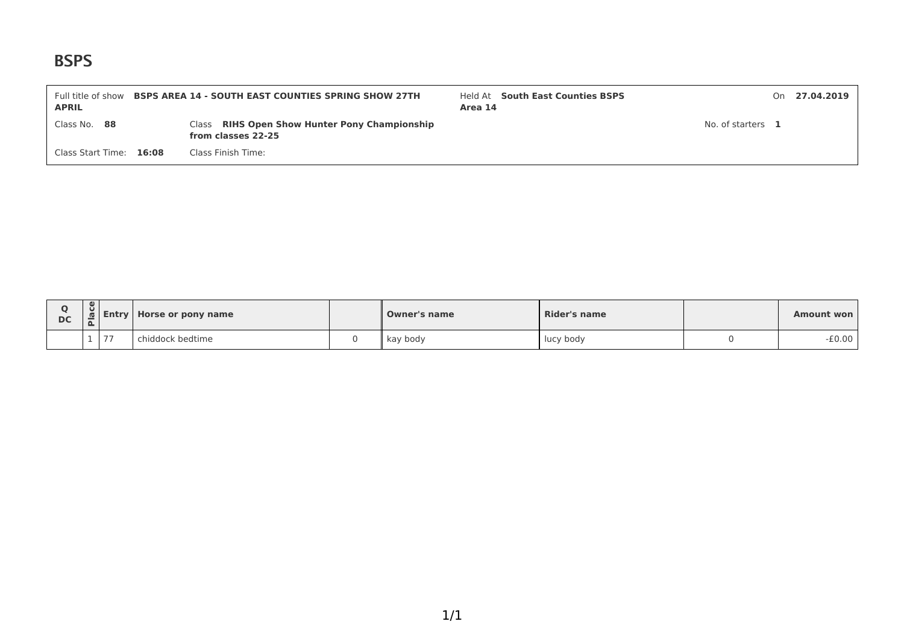| Full title of show<br><b>APRIL</b> | <b>BSPS AREA 14 - SOUTH EAST COUNTIES SPRING SHOW 27TH</b>          | Held At South East Counties BSPS<br>Area 14 |                   | On 27.04.2019 |
|------------------------------------|---------------------------------------------------------------------|---------------------------------------------|-------------------|---------------|
| Class No. 88                       | Class RIHS Open Show Hunter Pony Championship<br>from classes 22-25 |                                             | No. of starters 1 |               |
| Class Start Time: 16:08            | Class Finish Time:                                                  |                                             |                   |               |

| <b>DC</b> | $\overline{\phantom{a}}$<br>$\overline{\phantom{0}}$ | <b>Entry</b><br>Horse or pony name |                 | <b>Owner's name</b> | <b>Rider's name</b> | <b>Amount won</b> |
|-----------|------------------------------------------------------|------------------------------------|-----------------|---------------------|---------------------|-------------------|
|           |                                                      | 77                                 | hiddock bedtime | kay body            | lucy body           | $-£0.00$          |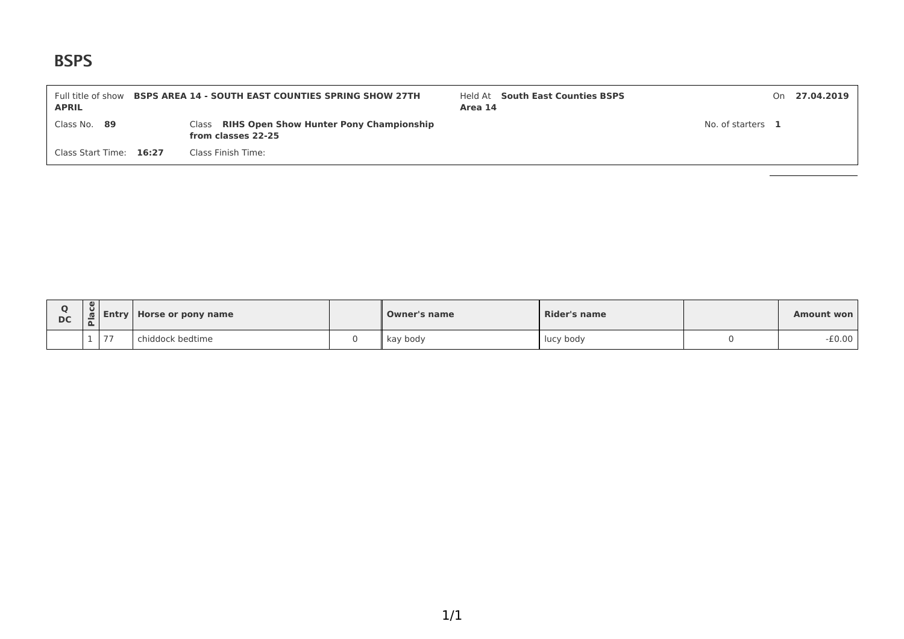| Full title of show<br><b>APRIL</b> | <b>BSPS AREA 14 - SOUTH EAST COUNTIES SPRING SHOW 27TH</b>          | Area 14 | Held At South East Counties BSPS |                   | On 27.04.2019 |
|------------------------------------|---------------------------------------------------------------------|---------|----------------------------------|-------------------|---------------|
| Class No. 89                       | Class RIHS Open Show Hunter Pony Championship<br>from classes 22-25 |         |                                  | No. of starters 1 |               |
| Class Start Time: 16:27            | Class Finish Time:                                                  |         |                                  |                   |               |

| <b>DC</b> | Ü<br>$\overline{\phantom{0}}$<br>௨ | <b>Entry</b> | Horse or pony name |  | <b>Owner's name</b> | <b>Rider's name</b> | Amount won |
|-----------|------------------------------------|--------------|--------------------|--|---------------------|---------------------|------------|
|           |                                    | 77           | iiddock bedtime    |  | kay body            | lucy body           | $-£0.00$   |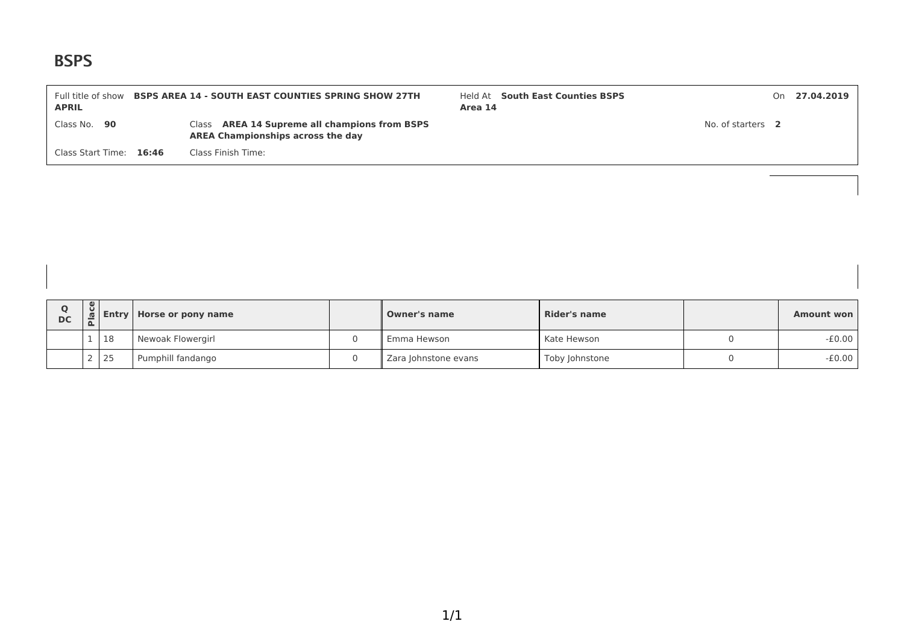| Full title of show<br><b>APRIL</b> | <b>BSPS AREA 14 - SOUTH EAST COUNTIES SPRING SHOW 27TH</b>                                | Area 14 | Held At South East Counties BSPS |                   | On 27.04.2019 |
|------------------------------------|-------------------------------------------------------------------------------------------|---------|----------------------------------|-------------------|---------------|
| Class No. 90                       | Class AREA 14 Supreme all champions from BSPS<br><b>AREA Championships across the day</b> |         |                                  | No. of starters 2 |               |
| Class Start Time: 16:46            | Class Finish Time:                                                                        |         |                                  |                   |               |

| <b>DC</b> | $\cup$ |    | <b>I Entry   Horse or pony name</b> | <b>Owner's name</b>  | Rider's name   | <b>Amount won</b> |
|-----------|--------|----|-------------------------------------|----------------------|----------------|-------------------|
|           |        | 18 | Newoak Flowergirl                   | Emma Hewson          | Kate Hewson    | $-E0.00$          |
|           |        | 25 | Pumphill fandango                   | Zara Johnstone evans | Toby Johnstone | -£0.00            |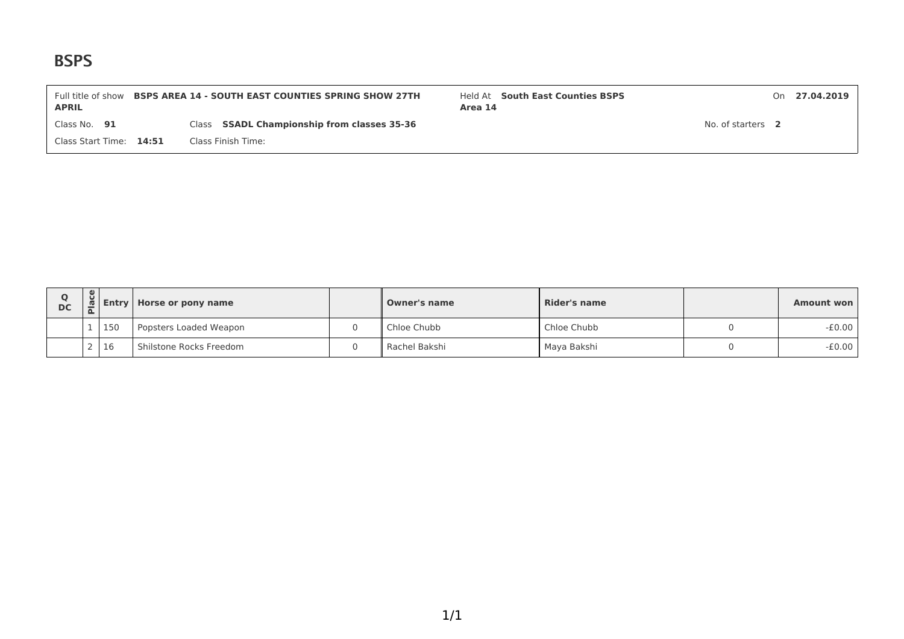| Full title of show<br><b>APRIL</b> | <b>BSPS AREA 14 - SOUTH EAST COUNTIES SPRING SHOW 27TH</b> | Held At South East Counties BSPS<br>Area 14 |                   | On 27.04.2019 |
|------------------------------------|------------------------------------------------------------|---------------------------------------------|-------------------|---------------|
| Class No. $91$                     | Class SSADL Championship from classes 35-36                |                                             | No. of starters 2 |               |
| Class Start Time: 14:51            | Class Finish Time:                                         |                                             |                   |               |

| <b>DC</b> | မျ |     | <b>Entry Horse or pony name</b> |  | <b>Owner's name</b> | Rider's name | <b>Amount won</b> |
|-----------|----|-----|---------------------------------|--|---------------------|--------------|-------------------|
|           |    | 150 | Popsters Loaded Weapon          |  | Chloe Chubb         | Chloe Chubb  | $-E0.00$          |
|           |    | 16  | Shilstone Rocks Freedom         |  | Rachel Bakshi       | Maya Bakshi  | $-E0.00$          |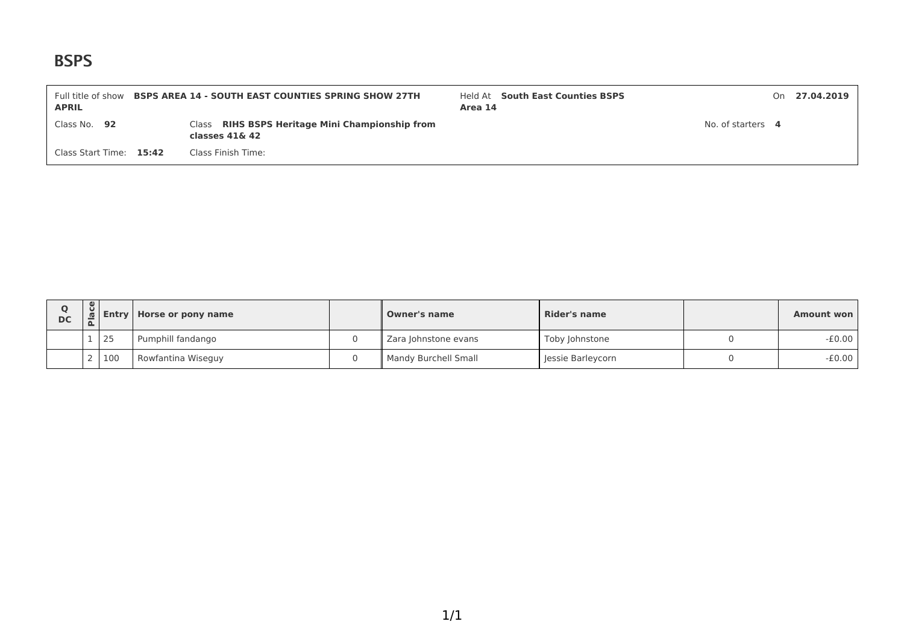| Full title of show<br><b>APRIL</b> | <b>BSPS AREA 14 - SOUTH EAST COUNTIES SPRING SHOW 27TH</b>           | Area 14 | Held At South East Counties BSPS |                   | On 27.04.2019 |
|------------------------------------|----------------------------------------------------------------------|---------|----------------------------------|-------------------|---------------|
| Class No. 92                       | Class RIHS BSPS Heritage Mini Championship from<br>classes $41\& 42$ |         |                                  | No. of starters 4 |               |
| Class Start Time: 15:42            | Class Finish Time:                                                   |         |                                  |                   |               |

| <b>DC</b> | ိမ | <b>d</b> Entry | Horse or pony name | <b>Owner's name</b>  | Rider's name      | Amount won |
|-----------|----|----------------|--------------------|----------------------|-------------------|------------|
|           |    | 25             | Pumphill fandango  | Zara Johnstone evans | Toby Johnstone    | $-£0.00$   |
|           |    | 100            | Rowfantina Wiseguy | Mandy Burchell Small | Jessie Barleycorn | $-£0.00$   |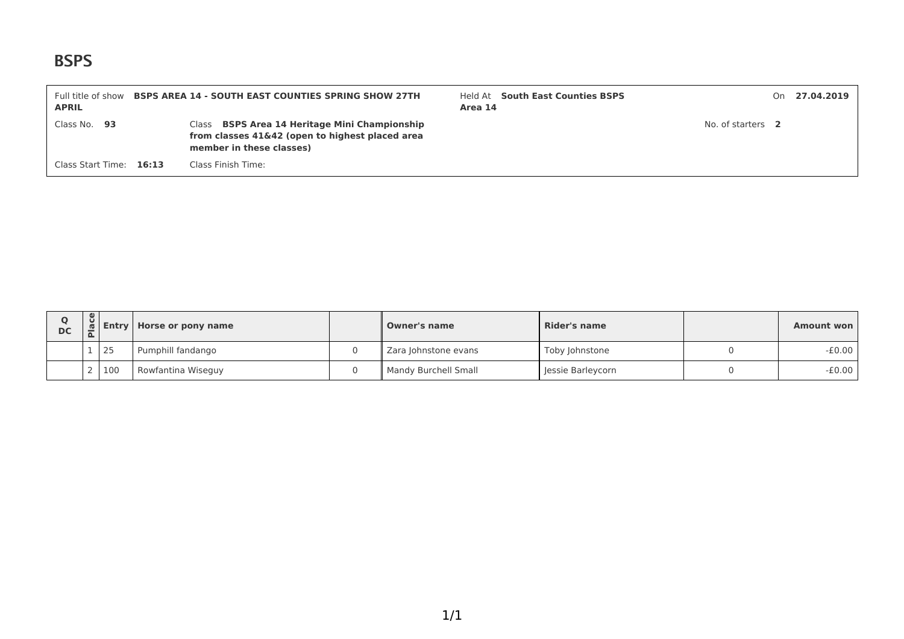| Full title of show<br><b>APRIL</b> | <b>BSPS AREA 14 - SOUTH EAST COUNTIES SPRING SHOW 27TH</b>                                                                   | Area 14 | Held At South East Counties BSPS |                   | On 27.04.2019 |
|------------------------------------|------------------------------------------------------------------------------------------------------------------------------|---------|----------------------------------|-------------------|---------------|
| Class No. $93$                     | Class BSPS Area 14 Heritage Mini Championship<br>from classes 41&42 (open to highest placed area<br>member in these classes) |         |                                  | No. of starters 2 |               |
| Class Start Time: 16:13            | Class Finish Time:                                                                                                           |         |                                  |                   |               |

| <b>DC</b> |     | <b>Entry   Horse or pony name</b> | <b>Owner's name</b>    | Rider's name      | Amount won |
|-----------|-----|-----------------------------------|------------------------|-------------------|------------|
|           | 25  | Pumphill fandango                 | Zara Johnstone evans   | Toby Johnstone    | $-E0.00$   |
|           | 100 | Rowfantina Wiseguy                | " Mandy Burchell Small | Jessie Barleycorn | $-E0.00$   |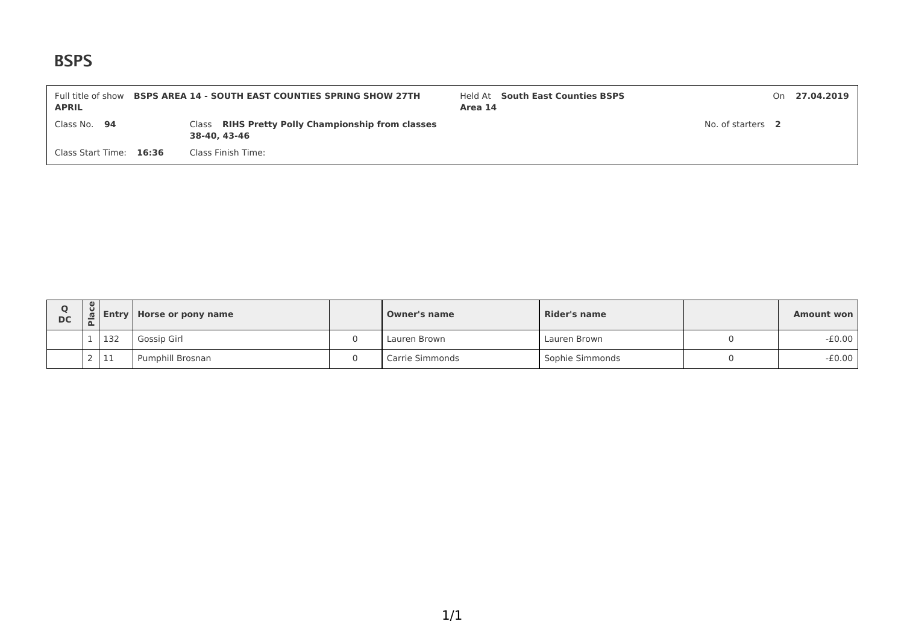| Full title of show<br><b>APRIL</b> | <b>BSPS AREA 14 - SOUTH EAST COUNTIES SPRING SHOW 27TH</b>        | Held At South East Counties BSPS<br>Area 14 |                   | On 27.04.2019 |
|------------------------------------|-------------------------------------------------------------------|---------------------------------------------|-------------------|---------------|
| Class No. 94                       | Class RIHS Pretty Polly Championship from classes<br>38-40, 43-46 |                                             | No. of starters 2 |               |
| Class Start Time: 16:36            | Class Finish Time:                                                |                                             |                   |               |

| O<br>DC | $\cup$ |             | <b>Entry   Horse or pony name</b> | Owner's name    | Rider's name    | Amount won |
|---------|--------|-------------|-----------------------------------|-----------------|-----------------|------------|
|         |        | 132         | Gossip Girl                       | Lauren Brown    | Lauren Brown    | $-£0.00$   |
|         |        | $-1$<br>--- | Pumphill Brosnan                  | Carrie Simmonds | Sophie Simmonds | $-£0.00$   |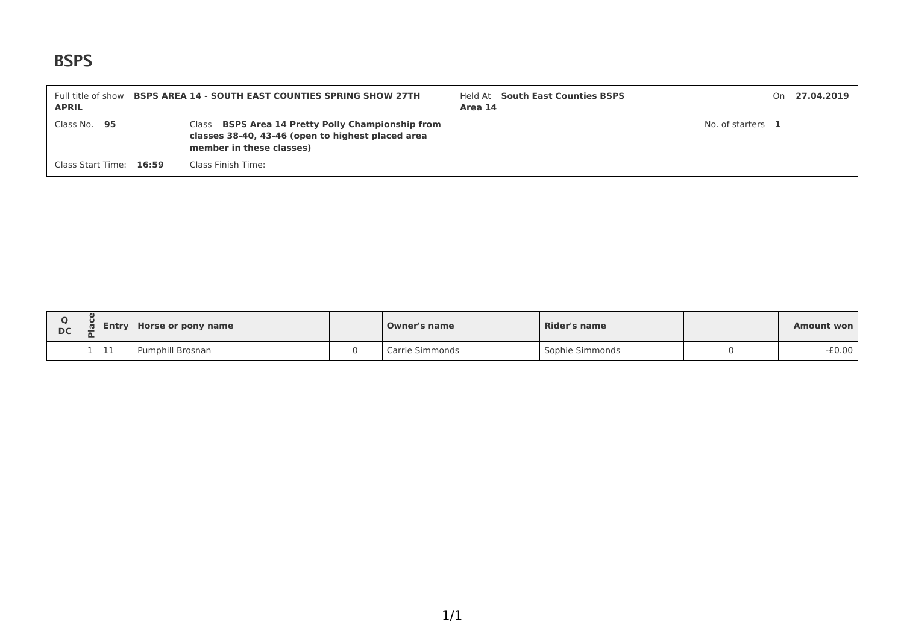| Full title of show<br><b>APRIL</b> | <b>BSPS AREA 14 - SOUTH EAST COUNTIES SPRING SHOW 27TH</b>                                                                                | Area 14 | Held At South East Counties BSPS |                   | On 27.04.2019 |
|------------------------------------|-------------------------------------------------------------------------------------------------------------------------------------------|---------|----------------------------------|-------------------|---------------|
| Class No. 95                       | Class <b>BSPS Area 14 Pretty Polly Championship from</b><br>classes 38-40, 43-46 (open to highest placed area<br>member in these classes) |         |                                  | No. of starters 1 |               |
| Class Start Time: 16:59            | Class Finish Time:                                                                                                                        |         |                                  |                   |               |

| <b>DC</b> | $\bullet$<br>U<br>$\Omega$ | 1 Entry L | Horse or pony name | <b>Owner's name</b> | <b>Rider's name</b> | <b>Amount won</b> |
|-----------|----------------------------|-----------|--------------------|---------------------|---------------------|-------------------|
|           |                            | 11        | Pumphill Brosnan   | Carrie Simmonds     | Sophie Simmonds     | $-£0.00$          |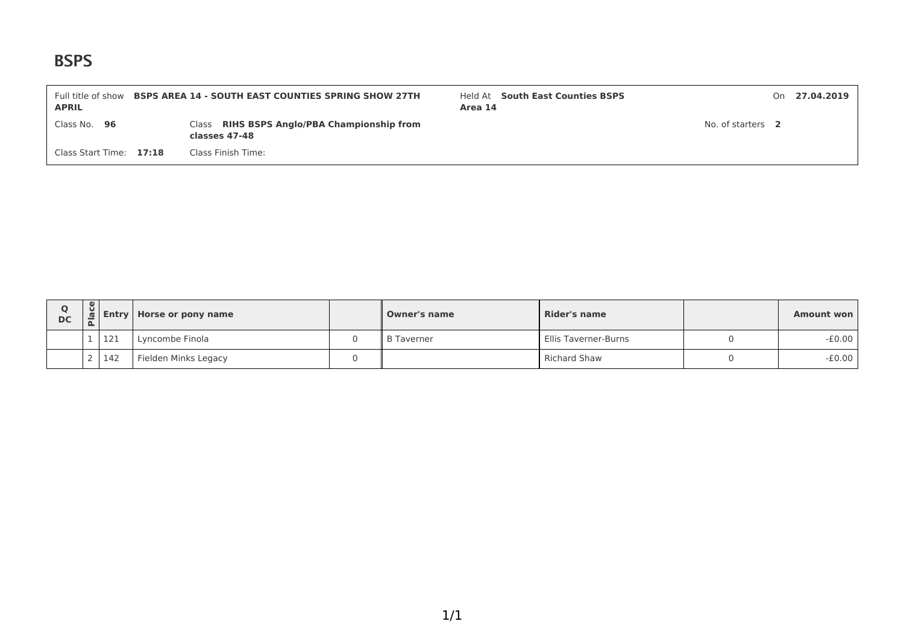| Full title of show<br><b>APRIL</b> | <b>BSPS AREA 14 - SOUTH EAST COUNTIES SPRING SHOW 27TH</b>   | Held At South East Counties BSPS<br>Area 14 |                   | On 27.04.2019 |
|------------------------------------|--------------------------------------------------------------|---------------------------------------------|-------------------|---------------|
| Class No. 96                       | Class RIHS BSPS Anglo/PBA Championship from<br>classes 47-48 |                                             | No. of starters 2 |               |
| Class Start Time: 17:18            | Class Finish Time:                                           |                                             |                   |               |

| Ο<br><b>DC</b> | $\mathbf{e}$ | $\bar{\mathfrak{a}}$ Entry | Horse or pony name   | <b>Owner's name</b> | <b>Rider's name</b>  | Amount won |
|----------------|--------------|----------------------------|----------------------|---------------------|----------------------|------------|
|                |              | 121                        | Lyncombe Finola      | <b>B</b> Taverner   | Ellis Taverner-Burns | $-£0.00$   |
|                |              | 2142                       | Fielden Minks Legacy |                     | <b>Richard Shaw</b>  | $-£0.00$   |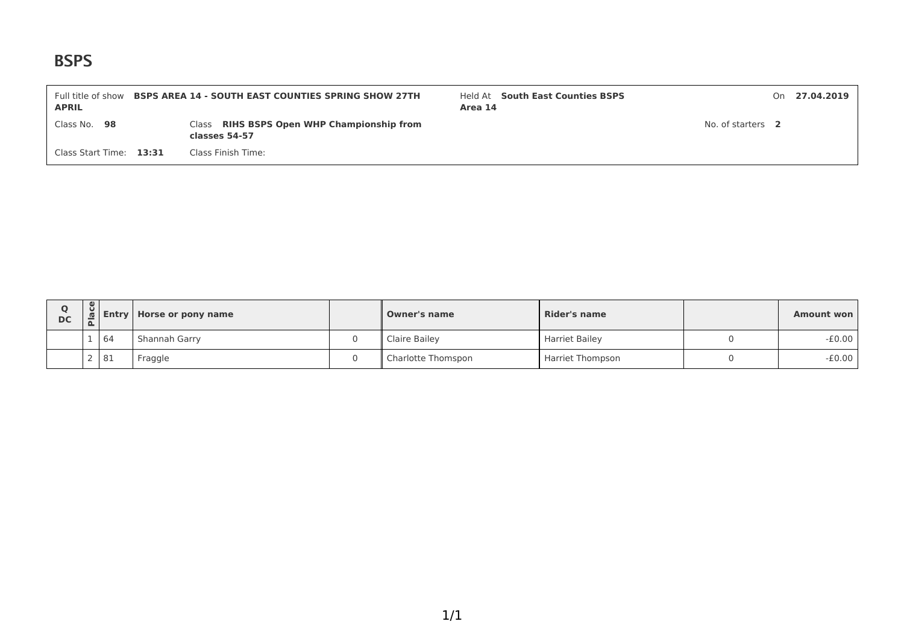| Full title of show<br><b>APRIL</b> | <b>BSPS AREA 14 - SOUTH EAST COUNTIES SPRING SHOW 27TH</b>  | Held At South East Counties BSPS<br>Area 14 |                   | On 27.04.2019 |
|------------------------------------|-------------------------------------------------------------|---------------------------------------------|-------------------|---------------|
| Class No. 98                       | Class RIHS BSPS Open WHP Championship from<br>classes 54-57 |                                             | No. of starters 2 |               |
| Class Start Time: 13:31            | Class Finish Time:                                          |                                             |                   |               |

| <b>DC</b> | $\omega$<br>$\cup$<br><b>n</b> |    | <b>Entry Horse or pony name</b> | <b>Owner's name</b> | Rider's name            |  | Amount won |
|-----------|--------------------------------|----|---------------------------------|---------------------|-------------------------|--|------------|
|           |                                | 64 | Shannah Garry                   | Claire Bailey       | <b>Harriet Bailey</b>   |  | $-£0.00$   |
|           |                                | 81 | Fraggle                         | Charlotte Thomspon  | <b>Harriet Thompson</b> |  | $-£0.00$   |